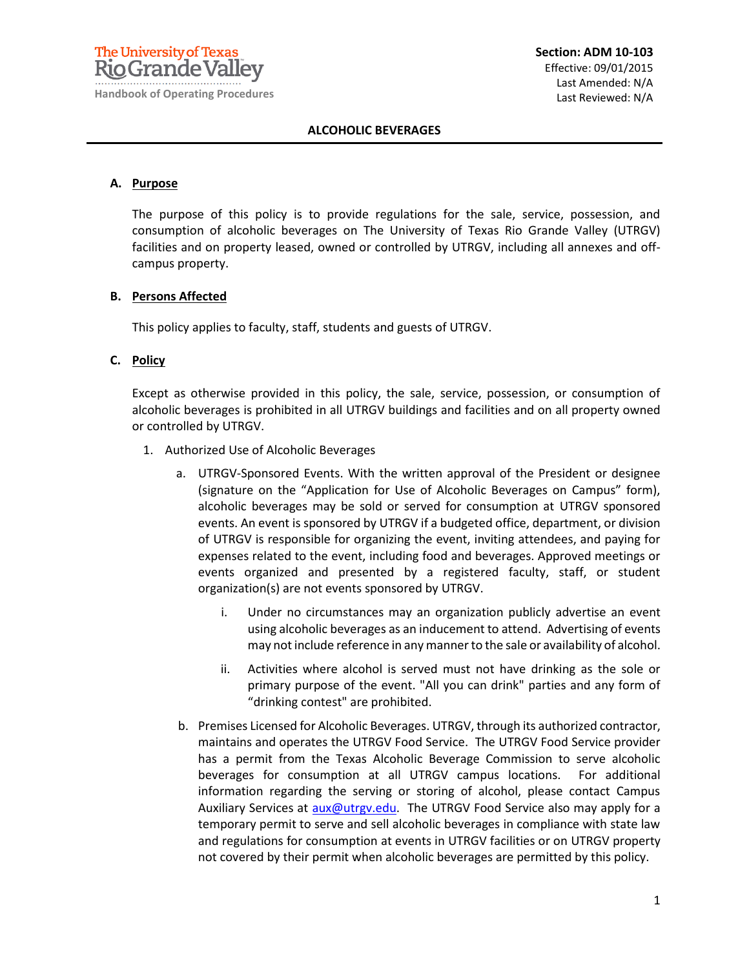

#### **ALCOHOLIC BEVERAGES**

#### **A. Purpose**

The purpose of this policy is to provide regulations for the sale, service, possession, and consumption of alcoholic beverages on The University of Texas Rio Grande Valley (UTRGV) facilities and on property leased, owned or controlled by UTRGV, including all annexes and offcampus property.

### **B. Persons Affected**

This policy applies to faculty, staff, students and guests of UTRGV.

### **C. Policy**

Except as otherwise provided in this policy, the sale, service, possession, or consumption of alcoholic beverages is prohibited in all UTRGV buildings and facilities and on all property owned or controlled by UTRGV.

- 1. Authorized Use of Alcoholic Beverages
	- a. UTRGV-Sponsored Events. With the written approval of the President or designee (signature on the "Application for Use of Alcoholic Beverages on Campus" form), alcoholic beverages may be sold or served for consumption at UTRGV sponsored events. An event is sponsored by UTRGV if a budgeted office, department, or division of UTRGV is responsible for organizing the event, inviting attendees, and paying for expenses related to the event, including food and beverages. Approved meetings or events organized and presented by a registered faculty, staff, or student organization(s) are not events sponsored by UTRGV.
		- i. Under no circumstances may an organization publicly advertise an event using alcoholic beverages as an inducement to attend. Advertising of events may not include reference in any manner to the sale or availability of alcohol.
		- ii. Activities where alcohol is served must not have drinking as the sole or primary purpose of the event. "All you can drink" parties and any form of "drinking contest" are prohibited.
	- b. Premises Licensed for Alcoholic Beverages. UTRGV, through its authorized contractor, maintains and operates the UTRGV Food Service. The UTRGV Food Service provider has a permit from the Texas Alcoholic Beverage Commission to serve alcoholic beverages for consumption at all UTRGV campus locations. For additional information regarding the serving or storing of alcohol, please contact Campus Auxiliary Services at [aux@utrgv.edu.](mailto:aux@utrgv.edu) The UTRGV Food Service also may apply for a temporary permit to serve and sell alcoholic beverages in compliance with state law and regulations for consumption at events in UTRGV facilities or on UTRGV property not covered by their permit when alcoholic beverages are permitted by this policy.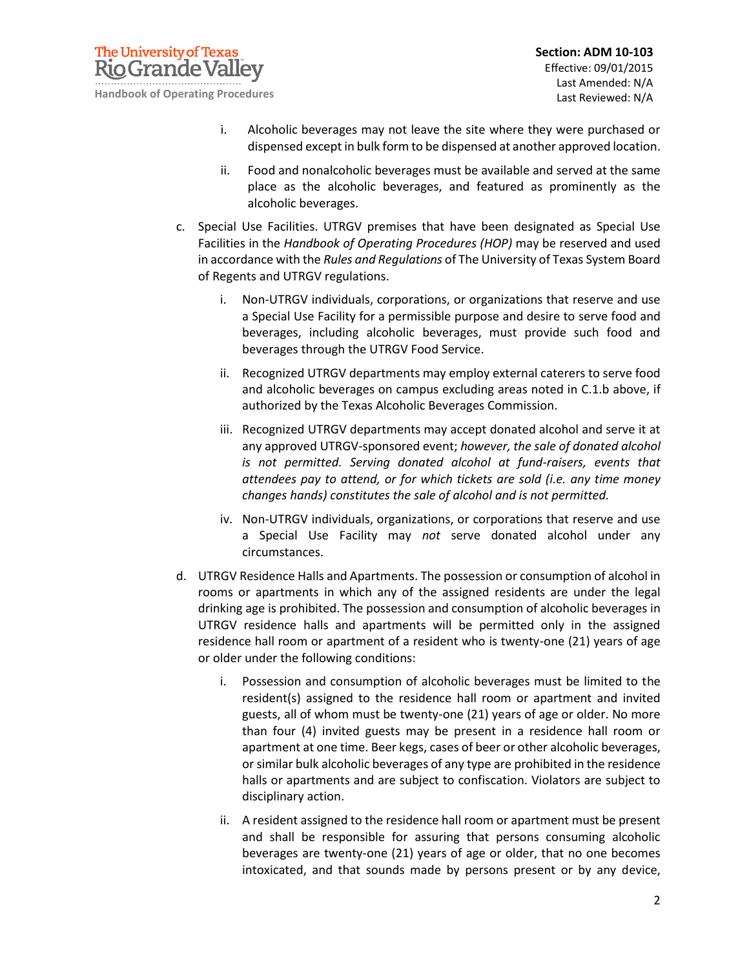

- i. Alcoholic beverages may not leave the site where they were purchased or dispensed except in bulk form to be dispensed at another approved location.
- ii. Food and nonalcoholic beverages must be available and served at the same place as the alcoholic beverages, and featured as prominently as the alcoholic beverages.
- c. Special Use Facilities. UTRGV premises that have been designated as Special Use Facilities in the *Handbook of Operating Procedures (HOP)* may be reserved and used in accordance with the *Rules and Regulations* of The University of Texas System Board of Regents and UTRGV regulations.
	- i. Non-UTRGV individuals, corporations, or organizations that reserve and use a Special Use Facility for a permissible purpose and desire to serve food and beverages, including alcoholic beverages, must provide such food and beverages through the UTRGV Food Service.
	- ii. Recognized UTRGV departments may employ external caterers to serve food and alcoholic beverages on campus excluding areas noted in C.1.b above, if authorized by the Texas Alcoholic Beverages Commission.
	- iii. Recognized UTRGV departments may accept donated alcohol and serve it at any approved UTRGV-sponsored event; *however, the sale of donated alcohol is not permitted. Serving donated alcohol at fund-raisers, events that attendees pay to attend, or for which tickets are sold (i.e. any time money changes hands) constitutes the sale of alcohol and is not permitted.*
	- iv. Non-UTRGV individuals, organizations, or corporations that reserve and use a Special Use Facility may *not* serve donated alcohol under any circumstances.
- d. UTRGV Residence Halls and Apartments. The possession or consumption of alcohol in rooms or apartments in which any of the assigned residents are under the legal drinking age is prohibited. The possession and consumption of alcoholic beverages in UTRGV residence halls and apartments will be permitted only in the assigned residence hall room or apartment of a resident who is twenty-one (21) years of age or older under the following conditions:
	- i. Possession and consumption of alcoholic beverages must be limited to the resident(s) assigned to the residence hall room or apartment and invited guests, all of whom must be twenty-one (21) years of age or older. No more than four (4) invited guests may be present in a residence hall room or apartment at one time. Beer kegs, cases of beer or other alcoholic beverages, or similar bulk alcoholic beverages of any type are prohibited in the residence halls or apartments and are subject to confiscation. Violators are subject to disciplinary action.
	- ii. A resident assigned to the residence hall room or apartment must be present and shall be responsible for assuring that persons consuming alcoholic beverages are twenty-one (21) years of age or older, that no one becomes intoxicated, and that sounds made by persons present or by any device,